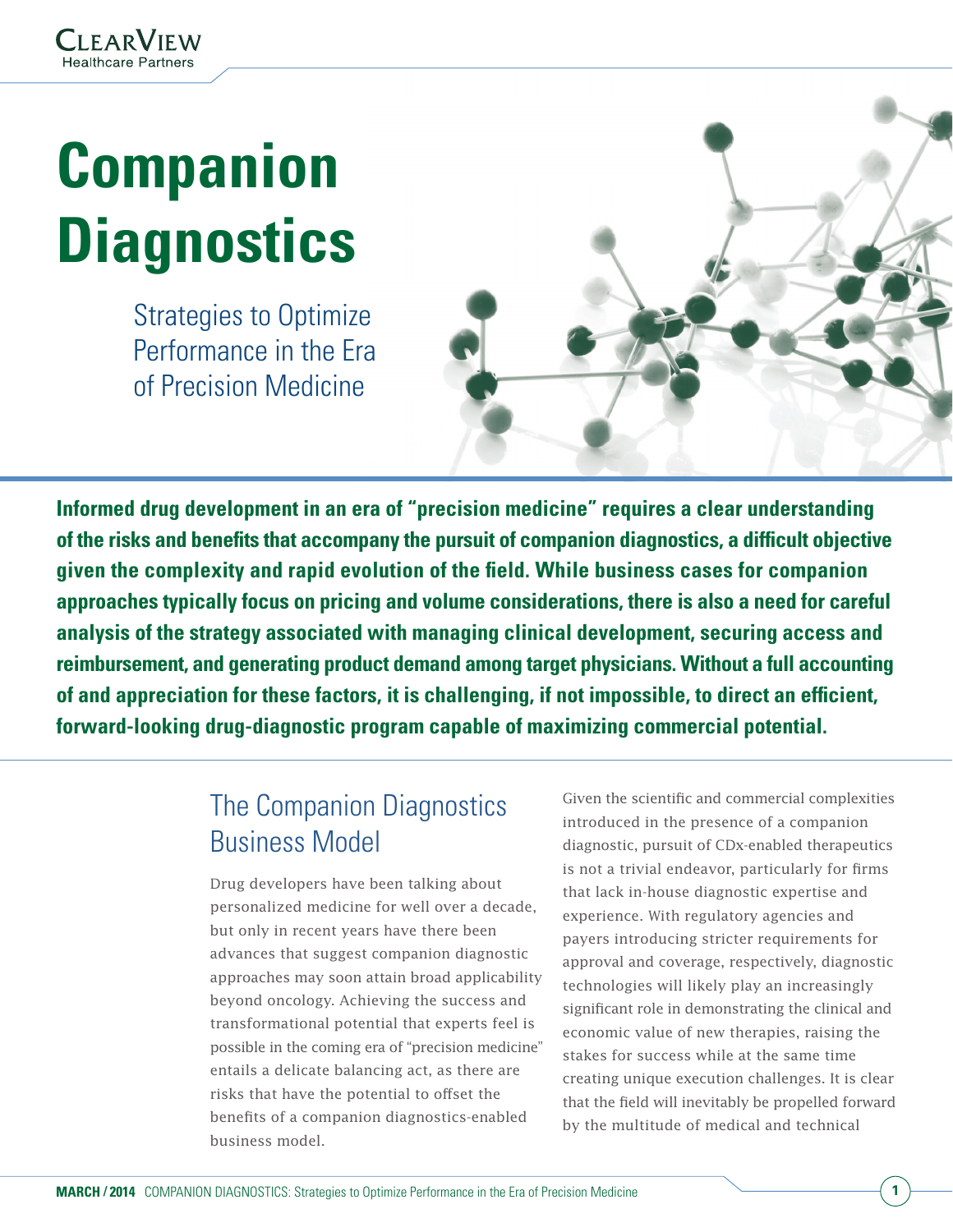# **Companion Diagnostics**

Strategies to Optimize Performance in the Era of Precision Medicine



**Informed drug development in an era of "precision medicine" requires a clear understanding of the risks and benefits that accompany the pursuit of companion diagnostics, a difficult objective given the complexity and rapid evolution of the field. While business cases for companion approaches typically focus on pricing and volume considerations, there is also a need for careful analysis of the strategy associated with managing clinical development, securing access and reimbursement, and generating product demand among target physicians. Without a full accounting of and appreciation for these factors, it is challenging, if not impossible, to direct an efficient, forward-looking drug-diagnostic program capable of maximizing commercial potential.**

# The Companion Diagnostics Business Model

Drug developers have been talking about personalized medicine for well over a decade, but only in recent years have there been advances that suggest companion diagnostic approaches may soon attain broad applicability beyond oncology. Achieving the success and transformational potential that experts feel is possible in the coming era of "precision medicine" entails a delicate balancing act, as there are risks that have the potential to offset the benefits of a companion diagnostics-enabled business model.

Given the scientific and commercial complexities introduced in the presence of a companion diagnostic, pursuit of CDx-enabled therapeutics is not a trivial endeavor, particularly for firms that lack in-house diagnostic expertise and experience. With regulatory agencies and payers introducing stricter requirements for approval and coverage, respectively, diagnostic technologies will likely play an increasingly significant role in demonstrating the clinical and economic value of new therapies, raising the stakes for success while at the same time creating unique execution challenges. It is clear that the field will inevitably be propelled forward by the multitude of medical and technical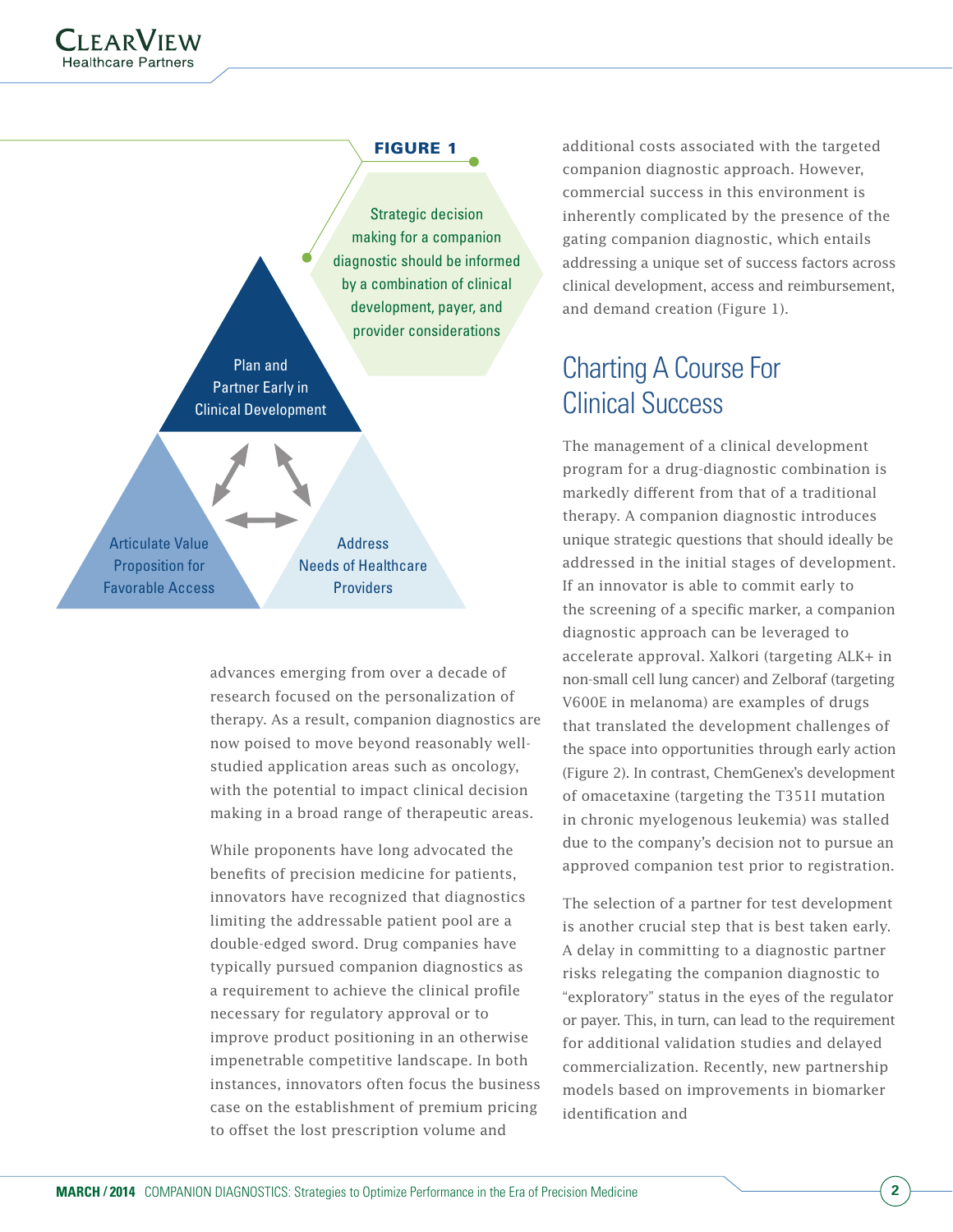

Strategic decision making for a companion diagnostic should be informed by a combination of clinical development, payer, and provider considerations

Plan and Partner Early in Clinical Development

Articulate Value Proposition for Favorable Access

**Address** Needs of Healthcare Providers

advances emerging from over a decade of research focused on the personalization of therapy. As a result, companion diagnostics are now poised to move beyond reasonably wellstudied application areas such as oncology, with the potential to impact clinical decision making in a broad range of therapeutic areas.

While proponents have long advocated the benefits of precision medicine for patients, innovators have recognized that diagnostics limiting the addressable patient pool are a double-edged sword. Drug companies have typically pursued companion diagnostics as a requirement to achieve the clinical profile necessary for regulatory approval or to improve product positioning in an otherwise impenetrable competitive landscape. In both instances, innovators often focus the business case on the establishment of premium pricing to offset the lost prescription volume and

additional costs associated with the targeted companion diagnostic approach. However, commercial success in this environment is inherently complicated by the presence of the gating companion diagnostic, which entails addressing a unique set of success factors across clinical development, access and reimbursement, and demand creation (Figure 1).

## Charting A Course For Clinical Success

The management of a clinical development program for a drug-diagnostic combination is markedly different from that of a traditional therapy. A companion diagnostic introduces unique strategic questions that should ideally be addressed in the initial stages of development. If an innovator is able to commit early to the screening of a specific marker, a companion diagnostic approach can be leveraged to accelerate approval. Xalkori (targeting ALK+ in non-small cell lung cancer) and Zelboraf (targeting V600E in melanoma) are examples of drugs that translated the development challenges of the space into opportunities through early action (Figure 2). In contrast, ChemGenex's development of omacetaxine (targeting the T351I mutation in chronic myelogenous leukemia) was stalled due to the company's decision not to pursue an approved companion test prior to registration.

The selection of a partner for test development is another crucial step that is best taken early. A delay in committing to a diagnostic partner risks relegating the companion diagnostic to "exploratory" status in the eyes of the regulator or payer. This, in turn, can lead to the requirement for additional validation studies and delayed commercialization. Recently, new partnership models based on improvements in biomarker identification and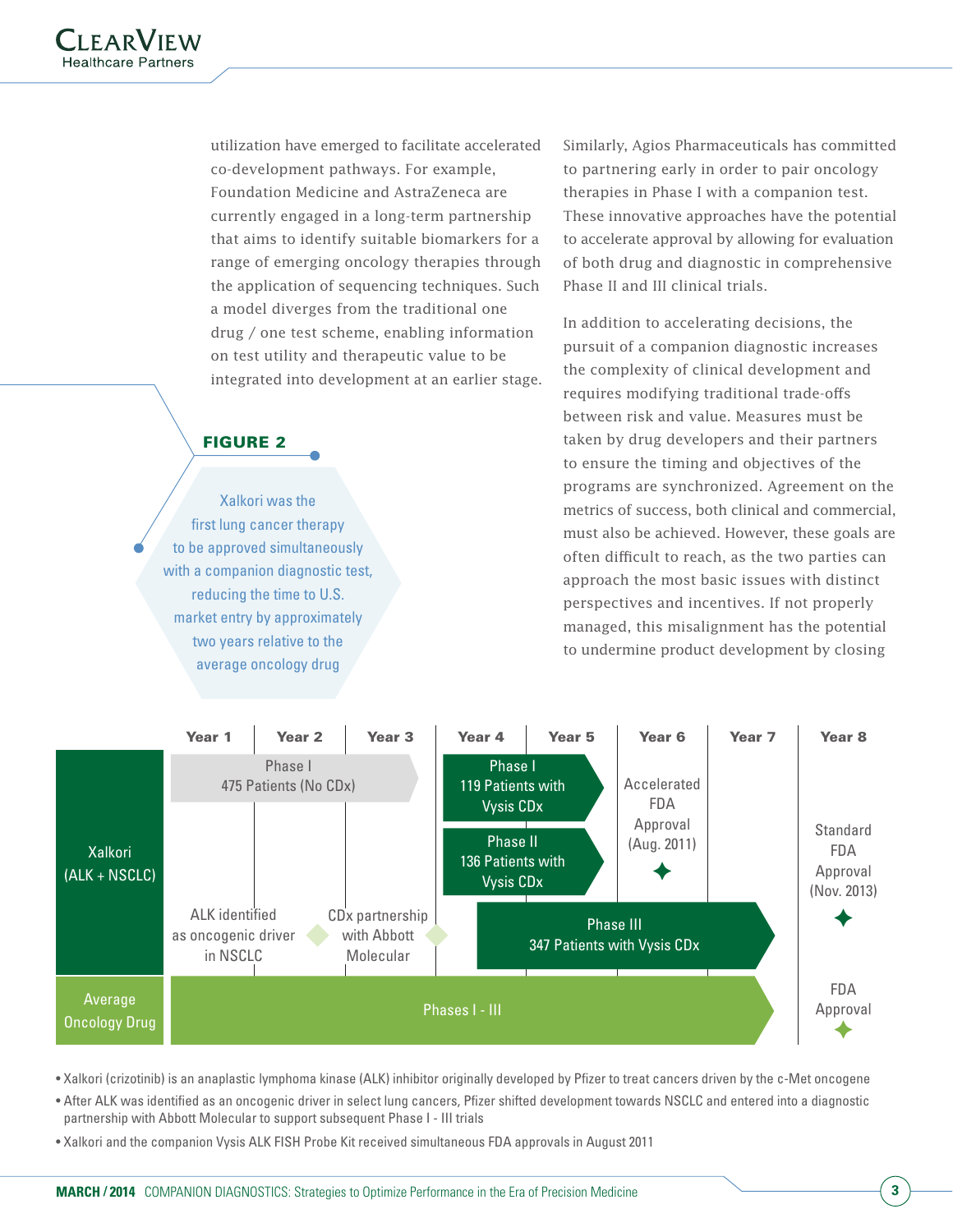utilization have emerged to facilitate accelerated co-development pathways. For example, Foundation Medicine and AstraZeneca are currently engaged in a long-term partnership that aims to identify suitable biomarkers for a range of emerging oncology therapies through the application of sequencing techniques. Such a model diverges from the traditional one drug / one test scheme, enabling information on test utility and therapeutic value to be integrated into development at an earlier stage.

#### Figure 2

Xalkori was the first lung cancer therapy to be approved simultaneously with a companion diagnostic test, reducing the time to U.S. market entry by approximately two years relative to the average oncology drug

Similarly, Agios Pharmaceuticals has committed to partnering early in order to pair oncology therapies in Phase I with a companion test. These innovative approaches have the potential to accelerate approval by allowing for evaluation of both drug and diagnostic in comprehensive Phase II and III clinical trials.

In addition to accelerating decisions, the pursuit of a companion diagnostic increases the complexity of clinical development and requires modifying traditional trade-offs between risk and value. Measures must be taken by drug developers and their partners to ensure the timing and objectives of the programs are synchronized. Agreement on the metrics of success, both clinical and commercial, must also be achieved. However, these goals are often difficult to reach, as the two parties can approach the most basic issues with distinct perspectives and incentives. If not properly managed, this misalignment has the potential to undermine product development by closing



• Xalkori (crizotinib) is an anaplastic lymphoma kinase (ALK) inhibitor originally developed by Pfizer to treat cancers driven by the c-Met oncogene

• After ALK was identified as an oncogenic driver in select lung cancers, Pfizer shifted development towards NSCLC and entered into a diagnostic partnership with Abbott Molecular to support subsequent Phase I - III trials

• Xalkori and the companion Vysis ALK FISH Probe Kit received simultaneous FDA approvals in August 2011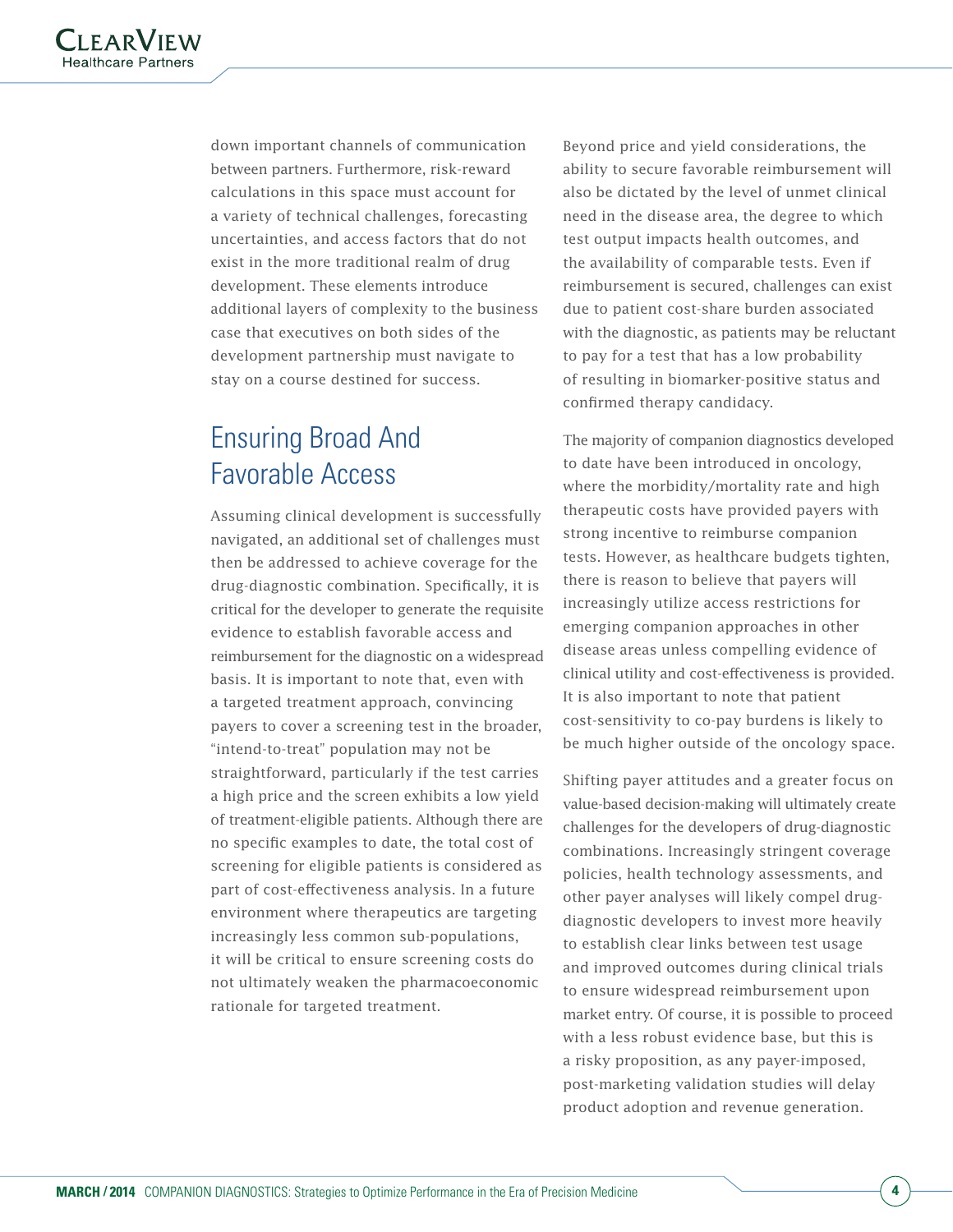down important channels of communication between partners. Furthermore, risk-reward calculations in this space must account for a variety of technical challenges, forecasting uncertainties, and access factors that do not exist in the more traditional realm of drug development. These elements introduce additional layers of complexity to the business case that executives on both sides of the development partnership must navigate to stay on a course destined for success.

## Ensuring Broad And Favorable Access

Assuming clinical development is successfully navigated, an additional set of challenges must then be addressed to achieve coverage for the drug-diagnostic combination. Specifically, it is critical for the developer to generate the requisite evidence to establish favorable access and reimbursement for the diagnostic on a widespread basis. It is important to note that, even with a targeted treatment approach, convincing payers to cover a screening test in the broader, "intend-to-treat" population may not be straightforward, particularly if the test carries a high price and the screen exhibits a low yield of treatment-eligible patients. Although there are no specific examples to date, the total cost of screening for eligible patients is considered as part of cost-effectiveness analysis. In a future environment where therapeutics are targeting increasingly less common sub-populations, it will be critical to ensure screening costs do not ultimately weaken the pharmacoeconomic rationale for targeted treatment.

Beyond price and yield considerations, the ability to secure favorable reimbursement will also be dictated by the level of unmet clinical need in the disease area, the degree to which test output impacts health outcomes, and the availability of comparable tests. Even if reimbursement is secured, challenges can exist due to patient cost-share burden associated with the diagnostic, as patients may be reluctant to pay for a test that has a low probability of resulting in biomarker-positive status and confirmed therapy candidacy.

The majority of companion diagnostics developed to date have been introduced in oncology, where the morbidity/mortality rate and high therapeutic costs have provided payers with strong incentive to reimburse companion tests. However, as healthcare budgets tighten, there is reason to believe that payers will increasingly utilize access restrictions for emerging companion approaches in other disease areas unless compelling evidence of clinical utility and cost-effectiveness is provided. It is also important to note that patient cost-sensitivity to co-pay burdens is likely to be much higher outside of the oncology space.

Shifting payer attitudes and a greater focus on value-based decision-making will ultimately create challenges for the developers of drug-diagnostic combinations. Increasingly stringent coverage policies, health technology assessments, and other payer analyses will likely compel drugdiagnostic developers to invest more heavily to establish clear links between test usage and improved outcomes during clinical trials to ensure widespread reimbursement upon market entry. Of course, it is possible to proceed with a less robust evidence base, but this is a risky proposition, as any payer-imposed, post-marketing validation studies will delay product adoption and revenue generation.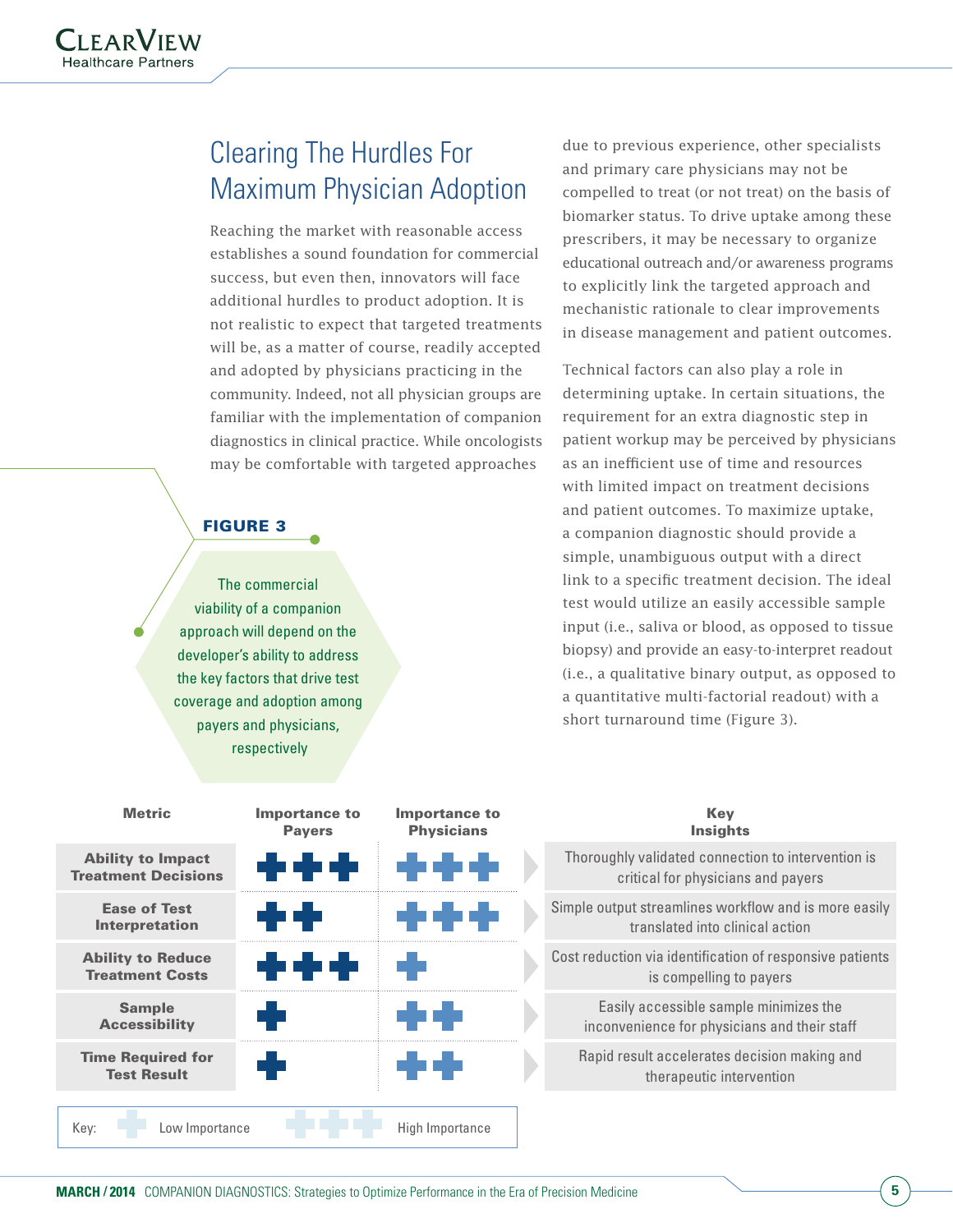## Clearing The Hurdles For Maximum Physician Adoption

Reaching the market with reasonable access establishes a sound foundation for commercial success, but even then, innovators will face additional hurdles to product adoption. It is not realistic to expect that targeted treatments will be, as a matter of course, readily accepted and adopted by physicians practicing in the community. Indeed, not all physician groups are familiar with the implementation of companion diagnostics in clinical practice. While oncologists may be comfortable with targeted approaches

#### **FIGURE 3**

The commercial viability of a companion approach will depend on the developer's ability to address the key factors that drive test coverage and adoption among payers and physicians, respectively

due to previous experience, other specialists and primary care physicians may not be compelled to treat (or not treat) on the basis of biomarker status. To drive uptake among these prescribers, it may be necessary to organize educational outreach and/or awareness programs to explicitly link the targeted approach and mechanistic rationale to clear improvements in disease management and patient outcomes.

Technical factors can also play a role in determining uptake. In certain situations, the requirement for an extra diagnostic step in patient workup may be perceived by physicians as an inefficient use of time and resources with limited impact on treatment decisions and patient outcomes. To maximize uptake, a companion diagnostic should provide a simple, unambiguous output with a direct link to a specific treatment decision. The ideal test would utilize an easily accessible sample input (i.e., saliva or blood, as opposed to tissue biopsy) and provide an easy-to-interpret readout (i.e., a qualitative binary output, as opposed to a quantitative multi-factorial readout) with a short turnaround time (Figure 3).

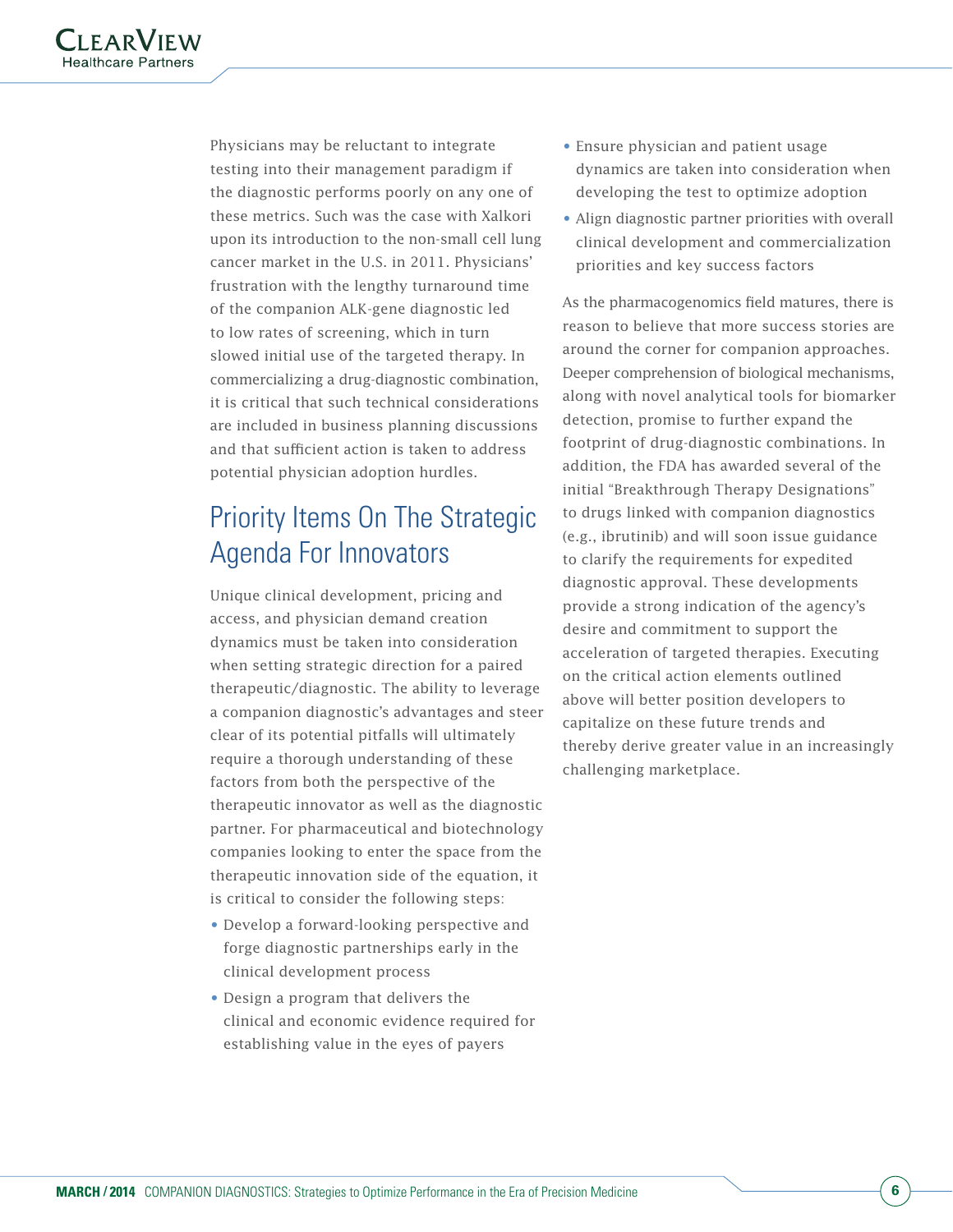Physicians may be reluctant to integrate testing into their management paradigm if the diagnostic performs poorly on any one of these metrics. Such was the case with Xalkori upon its introduction to the non-small cell lung cancer market in the U.S. in 2011. Physicians' frustration with the lengthy turnaround time of the companion ALK-gene diagnostic led to low rates of screening, which in turn slowed initial use of the targeted therapy. In commercializing a drug-diagnostic combination, it is critical that such technical considerations are included in business planning discussions and that sufficient action is taken to address potential physician adoption hurdles.

## Priority Items On The Strategic Agenda For Innovators

Unique clinical development, pricing and access, and physician demand creation dynamics must be taken into consideration when setting strategic direction for a paired therapeutic/diagnostic. The ability to leverage a companion diagnostic's advantages and steer clear of its potential pitfalls will ultimately require a thorough understanding of these factors from both the perspective of the therapeutic innovator as well as the diagnostic partner. For pharmaceutical and biotechnology companies looking to enter the space from the therapeutic innovation side of the equation, it is critical to consider the following steps:

- Develop a forward-looking perspective and forge diagnostic partnerships early in the clinical development process
- Design a program that delivers the clinical and economic evidence required for establishing value in the eyes of payers
- Ensure physician and patient usage dynamics are taken into consideration when developing the test to optimize adoption
- Align diagnostic partner priorities with overall clinical development and commercialization priorities and key success factors

As the pharmacogenomics field matures, there is reason to believe that more success stories are around the corner for companion approaches. Deeper comprehension of biological mechanisms, along with novel analytical tools for biomarker detection, promise to further expand the footprint of drug-diagnostic combinations. In addition, the FDA has awarded several of the initial "Breakthrough Therapy Designations" to drugs linked with companion diagnostics (e.g., ibrutinib) and will soon issue guidance to clarify the requirements for expedited diagnostic approval. These developments provide a strong indication of the agency's desire and commitment to support the acceleration of targeted therapies. Executing on the critical action elements outlined above will better position developers to capitalize on these future trends and thereby derive greater value in an increasingly challenging marketplace.